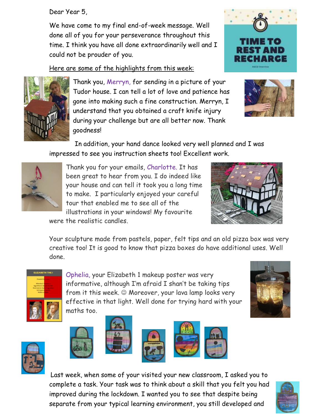Dear Year 5,

We have come to my final end-of-week message. Well done all of you for your perseverance throughout this time. I think you have all done extraordinarily well and I could not be prouder of you.

Here are some of the highlights from this week:



Thank you, Merryn, for sending in a picture of your Tudor house. I can tell a lot of love and patience has gone into making such a fine construction. Merryn, I understand that you obtained a craft knife injury during your challenge but are all better now. Thank goodness!





 In addition, your hand dance looked very well planned and I was impressed to see you instruction sheets too! Excellent work.



Thank you for your emails, Charlotte. It has been great to hear from you. I do indeed like your house and can tell it took you a long time to make. I particularly enjoyed your careful tour that enabled me to see all of the illustrations in your windows! My favourite



were the realistic candles.

Your sculpture made from pastels, paper, felt tips and an old pizza box was very creative too! It is good to know that pizza boxes do have additional uses. Well done.



Ophelia, your Elizabeth 1 makeup poster was very informative, although I'm afraid I shan't be taking tips from it this week.  $\odot$  Moreover, your lava lamp looks very effective in that light. Well done for trying hard with your maths too.











Last week, when some of your visited your new classroom, I asked you to complete a task. Your task was to think about a skill that you felt you had improved during the lockdown. I wanted you to see that despite being separate from your typical learning environment, you still developed and